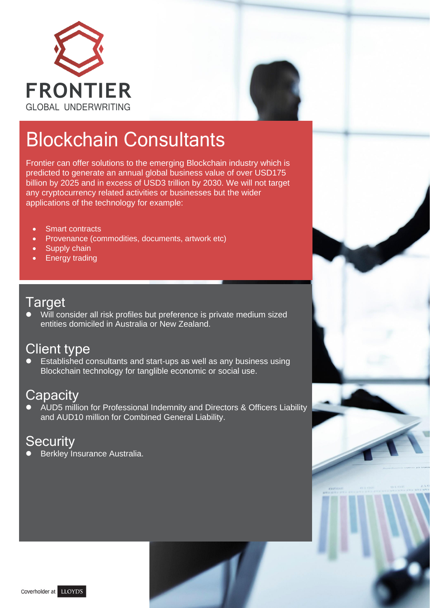



## Blockchain Consultants

Frontier can offer solutions to the emerging Blockchain industry which is predicted to generate an annual global business value of over USD175 billion by 2025 and in excess of USD3 trillion by 2030. We will not target any cryptocurrency related activities or businesses but the wider applications of the technology for example:

- **Smart contracts**
- Provenance (commodities, documents, artwork etc)
- Supply chain
- **Energy trading**

#### **Target**

⚫ Will consider all risk profiles but preference is private medium sized entities domiciled in Australia or New Zealand.

#### Client type

⚫ Established consultants and start-ups as well as any business using Blockchain technology for tanglible economic or social use.

#### **Capacity**

⚫ AUD5 million for Professional Indemnity and Directors & Officers Liability and AUD10 million for Combined General Liability.

## **Security**

⚫ Berkley Insurance Australia.